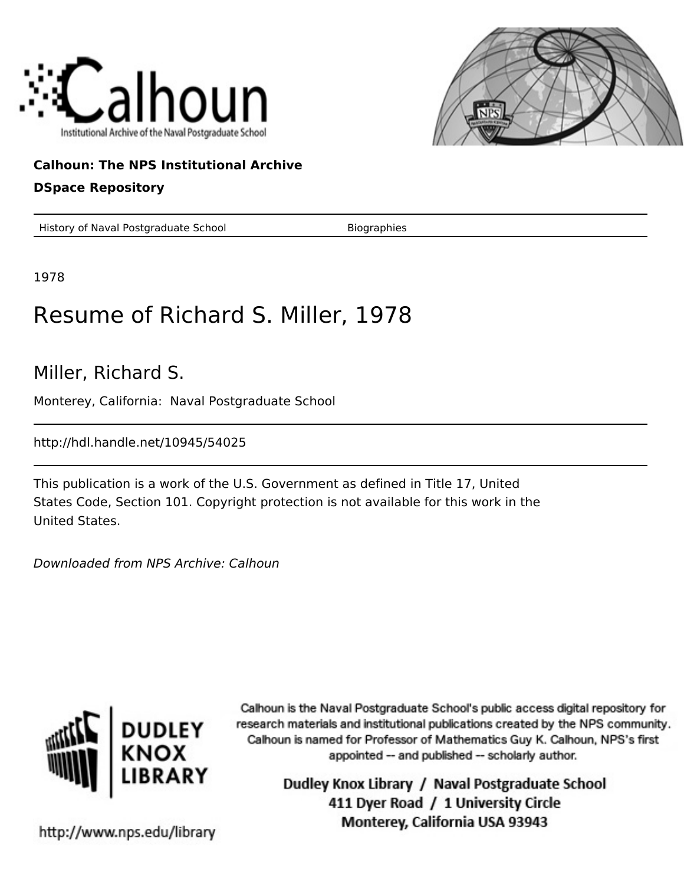



## **Calhoun: The NPS Institutional Archive**

## **DSpace Repository**

History of Naval Postgraduate School Biographies

1978

## Resume of Richard S. Miller, 1978

Miller, Richard S.

Monterey, California: Naval Postgraduate School

http://hdl.handle.net/10945/54025

This publication is a work of the U.S. Government as defined in Title 17, United States Code, Section 101. Copyright protection is not available for this work in the United States.

Downloaded from NPS Archive: Calhoun



Calhoun is the Naval Postgraduate School's public access digital repository for research materials and institutional publications created by the NPS community. Calhoun is named for Professor of Mathematics Guy K. Calhoun, NPS's first appointed -- and published -- scholarly author.

> Dudley Knox Library / Naval Postgraduate School 411 Dyer Road / 1 University Circle Monterey, California USA 93943

http://www.nps.edu/library